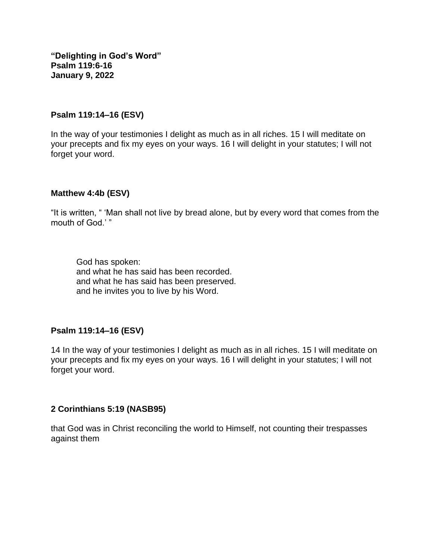**"Delighting in God's Word" Psalm 119:6-16 January 9, 2022**

#### **Psalm 119:14–16 (ESV)**

In the way of your testimonies I delight as much as in all riches. 15 I will meditate on your precepts and fix my eyes on your ways. 16 I will delight in your statutes; I will not forget your word.

#### **Matthew 4:4b (ESV)**

"It is written, " 'Man shall not live by bread alone, but by every word that comes from the mouth of God<sup>"</sup>

God has spoken: and what he has said has been recorded. and what he has said has been preserved. and he invites you to live by his Word.

### **Psalm 119:14–16 (ESV)**

14 In the way of your testimonies I delight as much as in all riches. 15 I will meditate on your precepts and fix my eyes on your ways. 16 I will delight in your statutes; I will not forget your word.

### **2 Corinthians 5:19 (NASB95)**

that God was in Christ reconciling the world to Himself, not counting their trespasses against them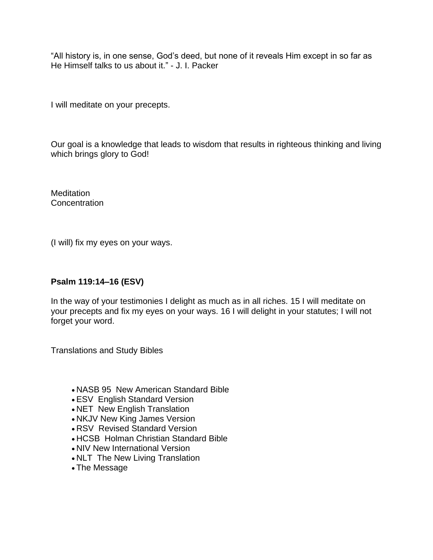"All history is, in one sense, God's deed, but none of it reveals Him except in so far as He Himself talks to us about it." - J. I. Packer

I will meditate on your precepts.

Our goal is a knowledge that leads to wisdom that results in righteous thinking and living which brings glory to God!

**Meditation Concentration** 

(I will) fix my eyes on your ways.

## **Psalm 119:14–16 (ESV)**

In the way of your testimonies I delight as much as in all riches. 15 I will meditate on your precepts and fix my eyes on your ways. 16 I will delight in your statutes; I will not forget your word.

Translations and Study Bibles

- NASB 95 New American Standard Bible
- ESV English Standard Version
- NET New English Translation
- NKJV New King James Version
- RSV Revised Standard Version
- HCSB Holman Christian Standard Bible
- NIV New International Version
- NLT The New Living Translation
- The Message